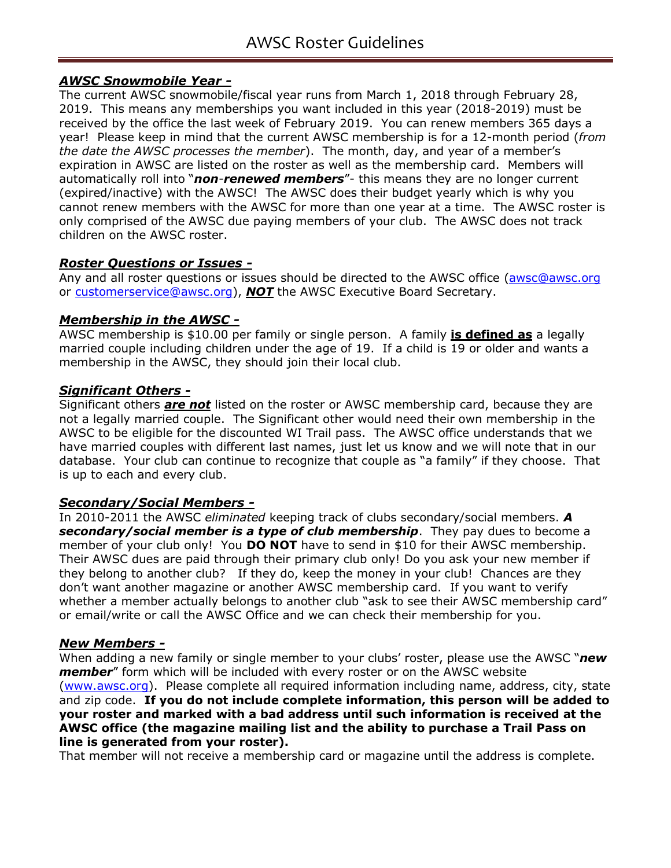# *AWSC Snowmobile Year -*

The current AWSC snowmobile/fiscal year runs from March 1, 2018 through February 28, 2019. This means any memberships you want included in this year (2018-2019) must be received by the office the last week of February 2019. You can renew members 365 days a year! Please keep in mind that the current AWSC membership is for a 12-month period (*from the date the AWSC processes the member*). The month, day, and year of a member's expiration in AWSC are listed on the roster as well as the membership card. Members will automatically roll into "*non*-*renewed members*"- this means they are no longer current (expired/inactive) with the AWSC! The AWSC does their budget yearly which is why you cannot renew members with the AWSC for more than one year at a time. The AWSC roster is only comprised of the AWSC due paying members of your club. The AWSC does not track children on the AWSC roster.

## *Roster Questions or Issues -*

Any and all roster questions or issues should be directed to the AWSC office (awsc@awsc.org or customerservice@awsc.org), *NOT* the AWSC Executive Board Secretary.

## *Membership in the AWSC -*

AWSC membership is \$10.00 per family or single person. A family **is defined as** a legally married couple including children under the age of 19. If a child is 19 or older and wants a membership in the AWSC, they should join their local club.

## *Significant Others -*

Significant others *are not* listed on the roster or AWSC membership card, because they are not a legally married couple. The Significant other would need their own membership in the AWSC to be eligible for the discounted WI Trail pass. The AWSC office understands that we have married couples with different last names, just let us know and we will note that in our database. Your club can continue to recognize that couple as "a family" if they choose. That is up to each and every club.

## *Secondary/Social Members -*

In 2010-2011 the AWSC *eliminated* keeping track of clubs secondary/social members. *A secondary/social member is a type of club membership*. They pay dues to become a member of your club only! You **DO NOT** have to send in \$10 for their AWSC membership. Their AWSC dues are paid through their primary club only! Do you ask your new member if they belong to another club? If they do, keep the money in your club! Chances are they don't want another magazine or another AWSC membership card. If you want to verify whether a member actually belongs to another club "ask to see their AWSC membership card" or email/write or call the AWSC Office and we can check their membership for you.

#### *New Members -*

When adding a new family or single member to your clubs' roster, please use the AWSC "*new member*" form which will be included with every roster or on the AWSC website (www.awsc.org). Please complete all required information including name, address, city, state and zip code. **If you do not include complete information, this person will be added to your roster and marked with a bad address until such information is received at the AWSC office (the magazine mailing list and the ability to purchase a Trail Pass on line is generated from your roster).**

That member will not receive a membership card or magazine until the address is complete.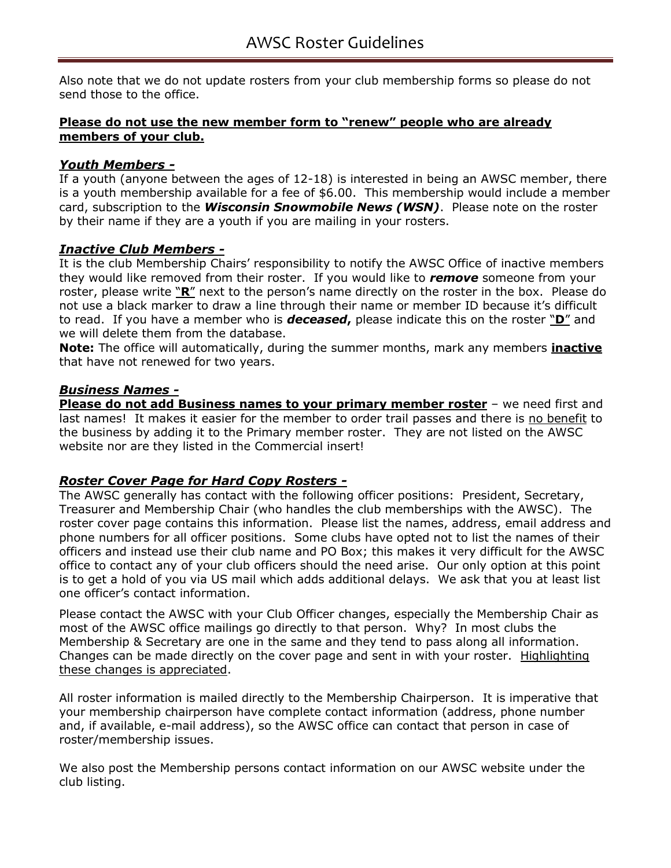Also note that we do not update rosters from your club membership forms so please do not send those to the office.

### **Please do not use the new member form to "renew" people who are already members of your club.**

### *Youth Members -*

If a youth (anyone between the ages of 12-18) is interested in being an AWSC member, there is a youth membership available for a fee of \$6.00. This membership would include a member card, subscription to the *Wisconsin Snowmobile News (WSN)*. Please note on the roster by their name if they are a youth if you are mailing in your rosters.

## *Inactive Club Members -*

It is the club Membership Chairs' responsibility to notify the AWSC Office of inactive members they would like removed from their roster. If you would like to *remove* someone from your roster, please write "**R**" next to the person's name directly on the roster in the box. Please do not use a black marker to draw a line through their name or member ID because it's difficult to read. If you have a member who is *deceased***,** please indicate this on the roster "**D**" and we will delete them from the database.

**Note:** The office will automatically, during the summer months, mark any members **inactive** that have not renewed for two years.

### *Business Names -*

**Please do not add Business names to your primary member roster** – we need first and last names! It makes it easier for the member to order trail passes and there is no benefit to the business by adding it to the Primary member roster. They are not listed on the AWSC website nor are they listed in the Commercial insert!

## *Roster Cover Page for Hard Copy Rosters -*

The AWSC generally has contact with the following officer positions: President, Secretary, Treasurer and Membership Chair (who handles the club memberships with the AWSC). The roster cover page contains this information. Please list the names, address, email address and phone numbers for all officer positions. Some clubs have opted not to list the names of their officers and instead use their club name and PO Box; this makes it very difficult for the AWSC office to contact any of your club officers should the need arise. Our only option at this point is to get a hold of you via US mail which adds additional delays. We ask that you at least list one officer's contact information.

Please contact the AWSC with your Club Officer changes, especially the Membership Chair as most of the AWSC office mailings go directly to that person. Why? In most clubs the Membership & Secretary are one in the same and they tend to pass along all information. Changes can be made directly on the cover page and sent in with your roster. Highlighting these changes is appreciated.

All roster information is mailed directly to the Membership Chairperson. It is imperative that your membership chairperson have complete contact information (address, phone number and, if available, e-mail address), so the AWSC office can contact that person in case of roster/membership issues.

We also post the Membership persons contact information on our AWSC website under the club listing.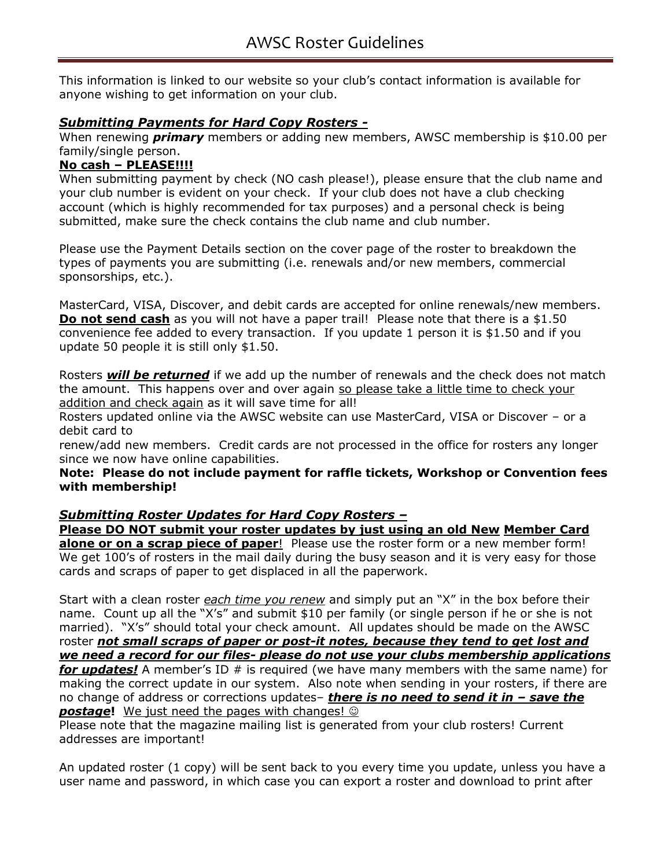This information is linked to our website so your club's contact information is available for anyone wishing to get information on your club.

# *Submitting Payments for Hard Copy Rosters -*

When renewing *primary* members or adding new members, AWSC membership is \$10.00 per family/single person.

## **No cash – PLEASE!!!!**

When submitting payment by check (NO cash please!), please ensure that the club name and your club number is evident on your check. If your club does not have a club checking account (which is highly recommended for tax purposes) and a personal check is being submitted, make sure the check contains the club name and club number.

Please use the Payment Details section on the cover page of the roster to breakdown the types of payments you are submitting (i.e. renewals and/or new members, commercial sponsorships, etc.).

MasterCard, VISA, Discover, and debit cards are accepted for online renewals/new members. **Do not send cash** as you will not have a paper trail! Please note that there is a \$1.50 convenience fee added to every transaction. If you update 1 person it is \$1.50 and if you update 50 people it is still only \$1.50.

Rosters *will be returned* if we add up the number of renewals and the check does not match the amount. This happens over and over again so please take a little time to check your addition and check again as it will save time for all!

Rosters updated online via the AWSC website can use MasterCard, VISA or Discover – or a debit card to

renew/add new members. Credit cards are not processed in the office for rosters any longer since we now have online capabilities.

**Note: Please do not include payment for raffle tickets, Workshop or Convention fees with membership!** 

## *Submitting Roster Updates for Hard Copy Rosters –*

**Please DO NOT submit your roster updates by just using an old New Member Card alone or on a scrap piece of paper**! Please use the roster form or a new member form! We get 100's of rosters in the mail daily during the busy season and it is very easy for those cards and scraps of paper to get displaced in all the paperwork.

Start with a clean roster *each time you renew* and simply put an "X" in the box before their name. Count up all the "X's" and submit \$10 per family (or single person if he or she is not married). "X's" should total your check amount. All updates should be made on the AWSC roster *not small scraps of paper or post-it notes, because they tend to get lost and we need a record for our files- please do not use your clubs membership applications for updates!* A member's ID # is required (we have many members with the same name) for making the correct update in our system. Also note when sending in your rosters, if there are no change of address or corrections updates– *there is no need to send it in – save the*  **postage!** We just need the pages with changes!  $\circledcirc$ 

Please note that the magazine mailing list is generated from your club rosters! Current addresses are important!

An updated roster (1 copy) will be sent back to you every time you update, unless you have a user name and password, in which case you can export a roster and download to print after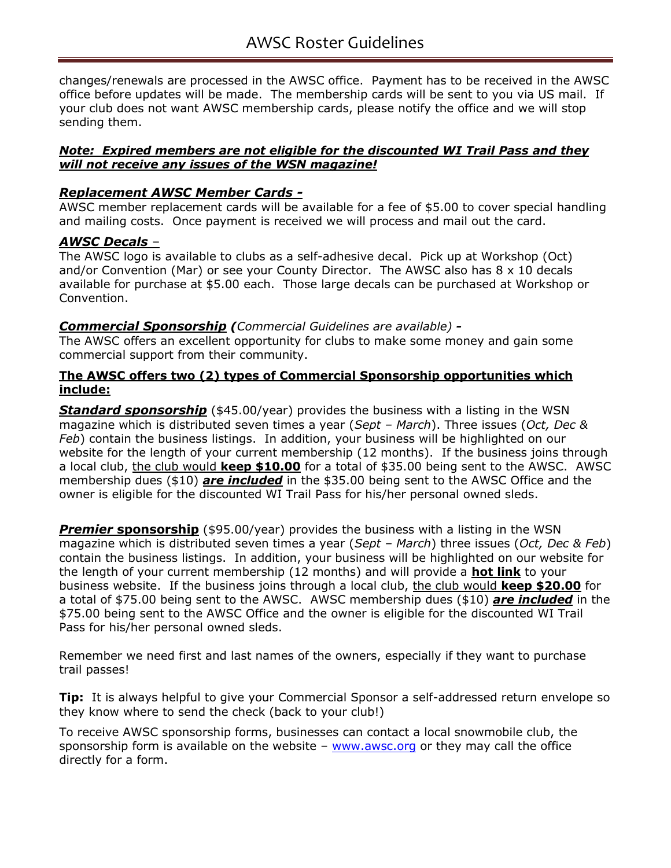changes/renewals are processed in the AWSC office. Payment has to be received in the AWSC office before updates will be made. The membership cards will be sent to you via US mail. If your club does not want AWSC membership cards, please notify the office and we will stop sending them.

### *Note: Expired members are not eligible for the discounted WI Trail Pass and they will not receive any issues of the WSN magazine!*

## *Replacement AWSC Member Cards -*

AWSC member replacement cards will be available for a fee of \$5.00 to cover special handling and mailing costs. Once payment is received we will process and mail out the card.

## *AWSC Decals* –

The AWSC logo is available to clubs as a self-adhesive decal. Pick up at Workshop (Oct) and/or Convention (Mar) or see your County Director. The AWSC also has 8 x 10 decals available for purchase at \$5.00 each. Those large decals can be purchased at Workshop or Convention.

## *Commercial Sponsorship (Commercial Guidelines are available) -*

The AWSC offers an excellent opportunity for clubs to make some money and gain some commercial support from their community.

#### **The AWSC offers two (2) types of Commercial Sponsorship opportunities which include:**

**Standard sponsorship** (\$45.00/year) provides the business with a listing in the WSN magazine which is distributed seven times a year (*Sept – March*). Three issues (*Oct, Dec & Feb*) contain the business listings. In addition, your business will be highlighted on our website for the length of your current membership (12 months). If the business joins through a local club, the club would **keep \$10.00** for a total of \$35.00 being sent to the AWSC. AWSC membership dues (\$10) *are included* in the \$35.00 being sent to the AWSC Office and the owner is eligible for the discounted WI Trail Pass for his/her personal owned sleds.

**Premier sponsorship** (\$95.00/year) provides the business with a listing in the WSN magazine which is distributed seven times a year (*Sept – March*) three issues (*Oct, Dec & Feb*) contain the business listings. In addition, your business will be highlighted on our website for the length of your current membership (12 months) and will provide a **hot link** to your business website. If the business joins through a local club, the club would **keep \$20.00** for a total of \$75.00 being sent to the AWSC. AWSC membership dues (\$10) *are included* in the \$75.00 being sent to the AWSC Office and the owner is eligible for the discounted WI Trail Pass for his/her personal owned sleds.

Remember we need first and last names of the owners, especially if they want to purchase trail passes!

**Tip:** It is always helpful to give your Commercial Sponsor a self-addressed return envelope so they know where to send the check (back to your club!)

To receive AWSC sponsorship forms, businesses can contact a local snowmobile club, the sponsorship form is available on the website –  $www.awsc.org$  or they may call the office directly for a form.